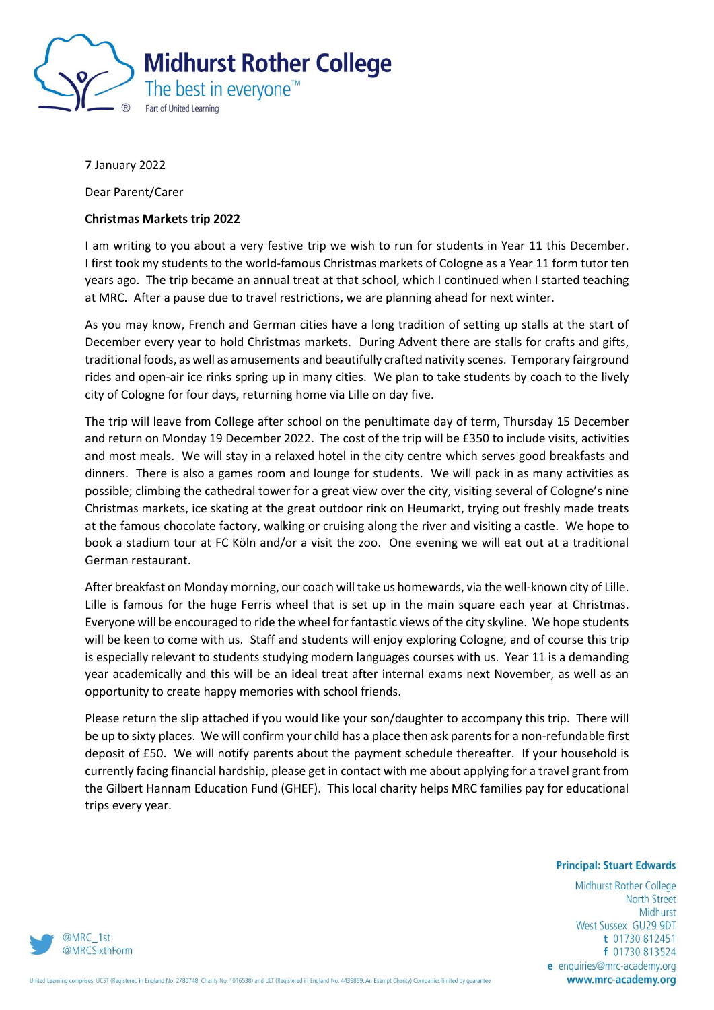

7 January 2022

Dear Parent/Carer

## **Christmas Markets trip 2022**

I am writing to you about a very festive trip we wish to run for students in Year 11 this December. I first took my students to the world-famous Christmas markets of Cologne as a Year 11 form tutor ten years ago. The trip became an annual treat at that school, which I continued when I started teaching at MRC. After a pause due to travel restrictions, we are planning ahead for next winter.

As you may know, French and German cities have a long tradition of setting up stalls at the start of December every year to hold Christmas markets. During Advent there are stalls for crafts and gifts, traditional foods, as well as amusements and beautifully crafted nativity scenes. Temporary fairground rides and open-air ice rinks spring up in many cities. We plan to take students by coach to the lively city of Cologne for four days, returning home via Lille on day five.

The trip will leave from College after school on the penultimate day of term, Thursday 15 December and return on Monday 19 December 2022. The cost of the trip will be £350 to include visits, activities and most meals. We will stay in a relaxed hotel in the city centre which serves good breakfasts and dinners. There is also a games room and lounge for students. We will pack in as many activities as possible; climbing the cathedral tower for a great view over the city, visiting several of Cologne's nine Christmas markets, ice skating at the great outdoor rink on Heumarkt, trying out freshly made treats at the famous chocolate factory, walking or cruising along the river and visiting a castle. We hope to book a stadium tour at FC Köln and/or a visit the zoo. One evening we will eat out at a traditional German restaurant.

After breakfast on Monday morning, our coach will take us homewards, via the well-known city of Lille. Lille is famous for the huge Ferris wheel that is set up in the main square each year at Christmas. Everyone will be encouraged to ride the wheel for fantastic views of the city skyline. We hope students will be keen to come with us. Staff and students will enjoy exploring Cologne, and of course this trip is especially relevant to students studying modern languages courses with us. Year 11 is a demanding year academically and this will be an ideal treat after internal exams next November, as well as an opportunity to create happy memories with school friends.

Please return the slip attached if you would like your son/daughter to accompany this trip. There will be up to sixty places. We will confirm your child has a place then ask parents for a non-refundable first deposit of £50. We will notify parents about the payment schedule thereafter. If your household is currently facing financial hardship, please get in contact with me about applying for a travel grant from the Gilbert Hannam Education Fund (GHEF). This local charity helps MRC families pay for educational trips every year.

## **Principal: Stuart Edwards**

Midhurst Rother College North Street Midhurst West Sussex GU29 9DT t 01730 812451 f 01730 813524 e enquiries@mrc-academy.org www.mrc-academy.org